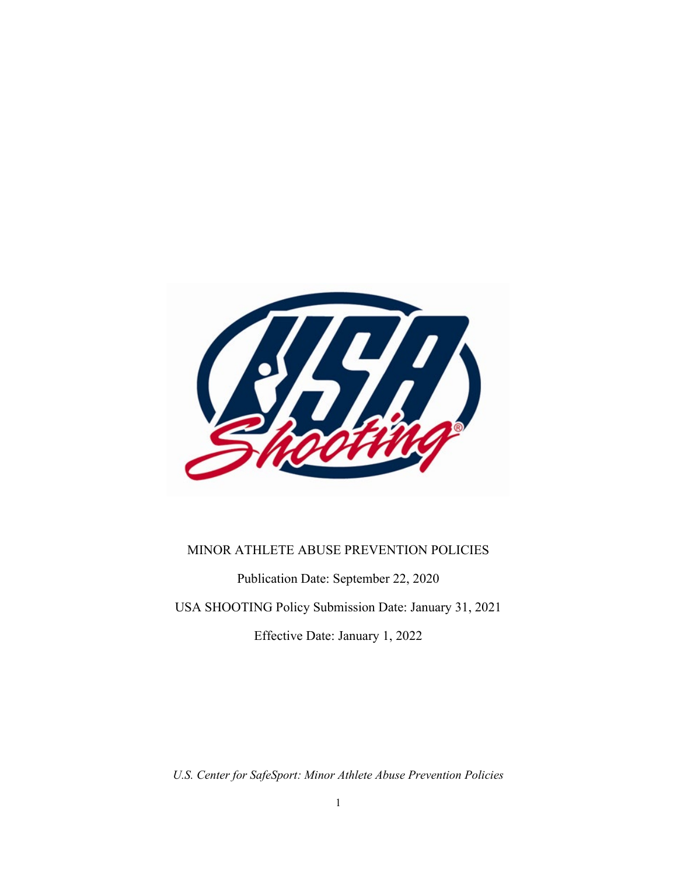

#### MINOR ATHLETE ABUSE PREVENTION POLICIES

Publication Date: September 22, 2020

USA SHOOTING Policy Submission Date: January 31, 2021

Effective Date: January 1, 2022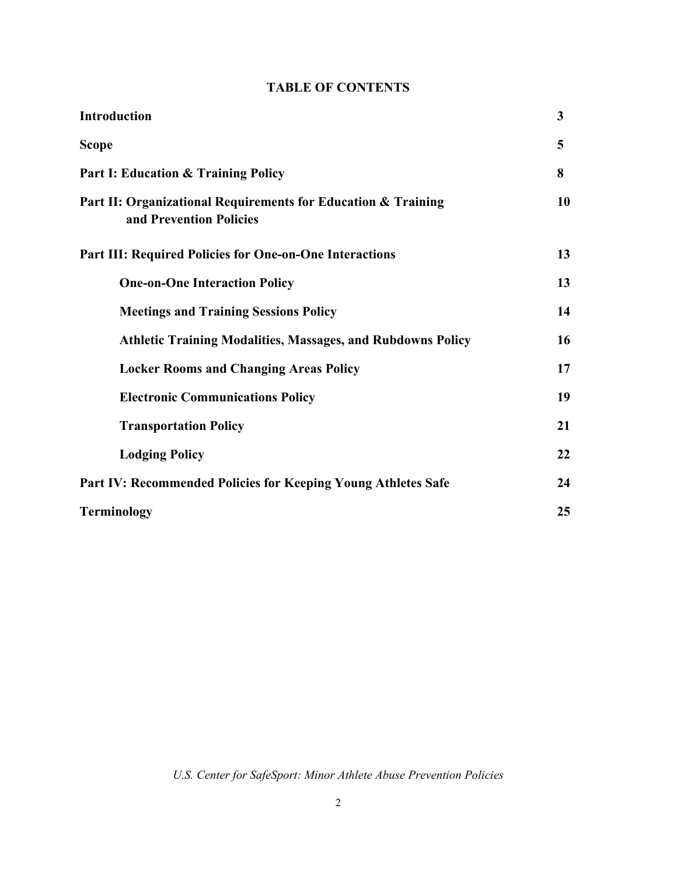# **TABLE OF CONTENTS**

| <b>Introduction</b>                                                                      | 3  |
|------------------------------------------------------------------------------------------|----|
| <b>Scope</b>                                                                             | 5  |
| <b>Part I: Education &amp; Training Policy</b>                                           | 8  |
| Part II: Organizational Requirements for Education & Training<br>and Prevention Policies | 10 |
| <b>Part III: Required Policies for One-on-One Interactions</b>                           | 13 |
| <b>One-on-One Interaction Policy</b>                                                     | 13 |
| <b>Meetings and Training Sessions Policy</b>                                             | 14 |
| <b>Athletic Training Modalities, Massages, and Rubdowns Policy</b>                       | 16 |
| <b>Locker Rooms and Changing Areas Policy</b>                                            | 17 |
| <b>Electronic Communications Policy</b>                                                  | 19 |
| <b>Transportation Policy</b>                                                             | 21 |
| <b>Lodging Policy</b>                                                                    | 22 |
| Part IV: Recommended Policies for Keeping Young Athletes Safe                            | 24 |
| <b>Terminology</b>                                                                       | 25 |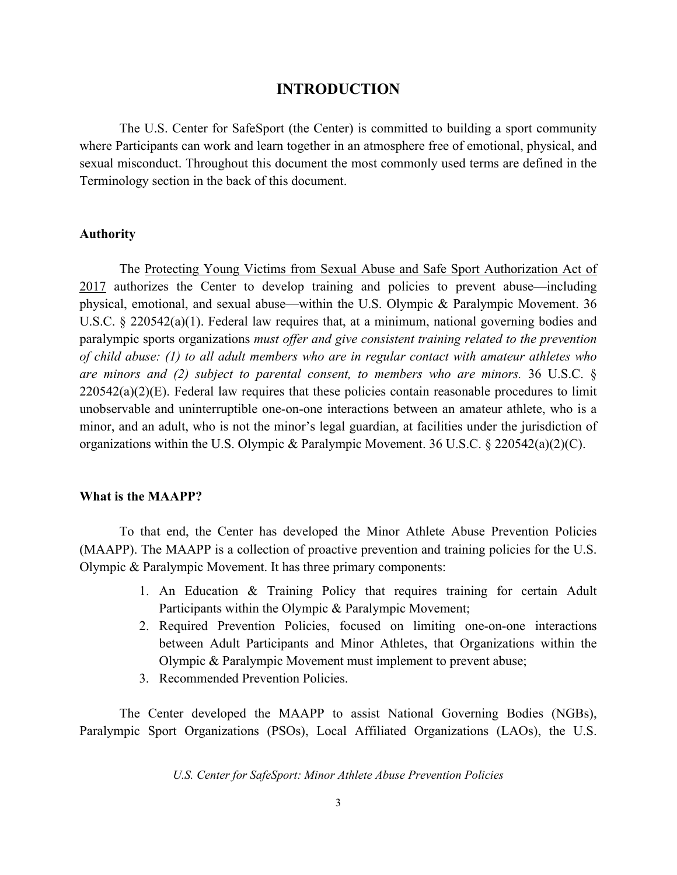#### **INTRODUCTION**

The U.S. Center for SafeSport (the Center) is committed to building a sport community where Participants can work and learn together in an atmosphere free of emotional, physical, and sexual misconduct. Throughout this document the most commonly used terms are defined in the Terminology section in the back of this document.

#### **Authority**

The Protecting Young Victims from Sexual Abuse and Safe Sport Authorization Act of 2017 authorizes the Center to develop training and policies to prevent abuse—including physical, emotional, and sexual abuse—within the U.S. Olympic & Paralympic Movement. 36 U.S.C. § 220542(a)(1). Federal law requires that, at a minimum, national governing bodies and paralympic sports organizations *must offer and give consistent training related to the prevention of child abuse: (1) to all adult members who are in regular contact with amateur athletes who are minors and (2) subject to parental consent, to members who are minors.* 36 U.S.C. §  $220542(a)(2)(E)$ . Federal law requires that these policies contain reasonable procedures to limit unobservable and uninterruptible one-on-one interactions between an amateur athlete, who is a minor, and an adult, who is not the minor's legal guardian, at facilities under the jurisdiction of organizations within the U.S. Olympic & Paralympic Movement. 36 U.S.C. § 220542(a)(2)(C).

#### **What is the MAAPP?**

To that end, the Center has developed the Minor Athlete Abuse Prevention Policies (MAAPP). The MAAPP is a collection of proactive prevention and training policies for the U.S. Olympic & Paralympic Movement. It has three primary components:

- 1. An Education & Training Policy that requires training for certain Adult Participants within the Olympic & Paralympic Movement;
- 2. Required Prevention Policies, focused on limiting one-on-one interactions between Adult Participants and Minor Athletes, that Organizations within the Olympic & Paralympic Movement must implement to prevent abuse;
- 3. Recommended Prevention Policies.

The Center developed the MAAPP to assist National Governing Bodies (NGBs), Paralympic Sport Organizations (PSOs), Local Affiliated Organizations (LAOs), the U.S.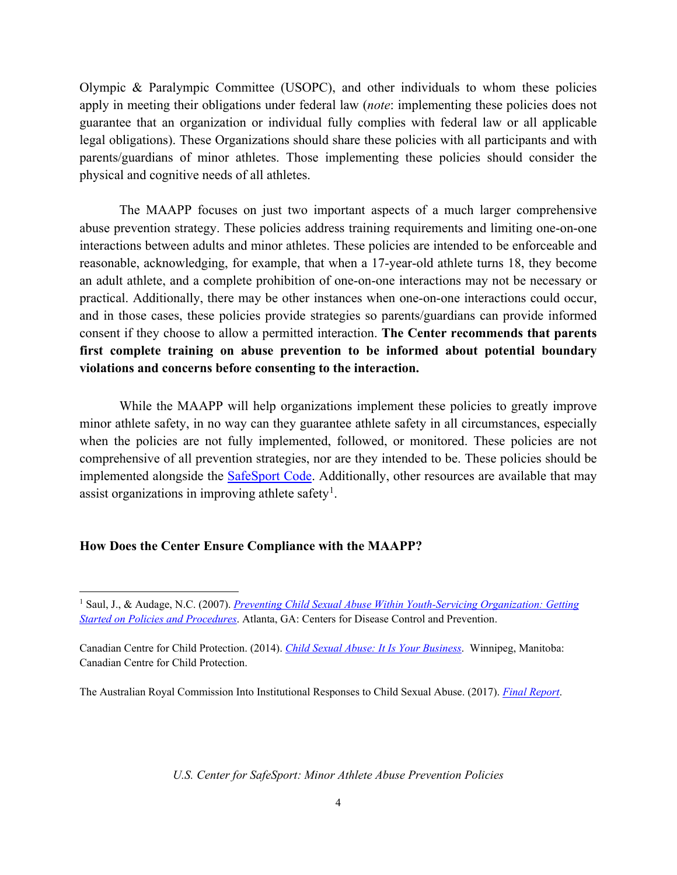Olympic & Paralympic Committee (USOPC), and other individuals to whom these policies apply in meeting their obligations under federal law (*note*: implementing these policies does not guarantee that an organization or individual fully complies with federal law or all applicable legal obligations). These Organizations should share these policies with all participants and with parents/guardians of minor athletes. Those implementing these policies should consider the physical and cognitive needs of all athletes.

The MAAPP focuses on just two important aspects of a much larger comprehensive abuse prevention strategy. These policies address training requirements and limiting one-on-one interactions between adults and minor athletes. These policies are intended to be enforceable and reasonable, acknowledging, for example, that when a 17-year-old athlete turns 18, they become an adult athlete, and a complete prohibition of one-on-one interactions may not be necessary or practical. Additionally, there may be other instances when one-on-one interactions could occur, and in those cases, these policies provide strategies so parents/guardians can provide informed consent if they choose to allow a permitted interaction. **The Center recommends that parents first complete training on abuse prevention to be informed about potential boundary violations and concerns before consenting to the interaction.**

While the MAAPP will help organizations implement these policies to greatly improve minor athlete safety, in no way can they guarantee athlete safety in all circumstances, especially when the policies are not fully implemented, followed, or monitored. These policies are not comprehensive of all prevention strategies, nor are they intended to be. These policies should be implemented alongside the [SafeSport Code.](https://uscenterforsafesport.org/response-and-resolution/safesport-code/) Additionally, other resources are available that may assist organizations in improving athlete safety<sup>[1](#page-3-0)</sup>.

#### **How Does the Center Ensure Compliance with the MAAPP?**

The Australian Royal Commission Into Institutional Responses to Child Sexual Abuse. (2017). *[Final Report](https://www.childabuseroyalcommission.gov.au/final-report)*.

<span id="page-3-0"></span><sup>1</sup> Saul, J., & Audage, N.C. (2007). *[Preventing Child Sexual Abuse Within Youth-Servicing Organization: Getting](https://www.cdc.gov/violenceprevention/pdf/PreventingChildSexualAbuse-a.pdf)  [Started on Policies and Procedures](https://www.cdc.gov/violenceprevention/pdf/PreventingChildSexualAbuse-a.pdf)*. Atlanta, GA: Centers for Disease Control and Prevention.

Canadian Centre for Child Protection. (2014). *[Child Sexual Abuse: It Is Your Business](https://www.protectchildren.ca/pdfs/C3P_ChildSexualAbuse_ItIsYourBusiness_en.pdf)*. Winnipeg, Manitoba: Canadian Centre for Child Protection.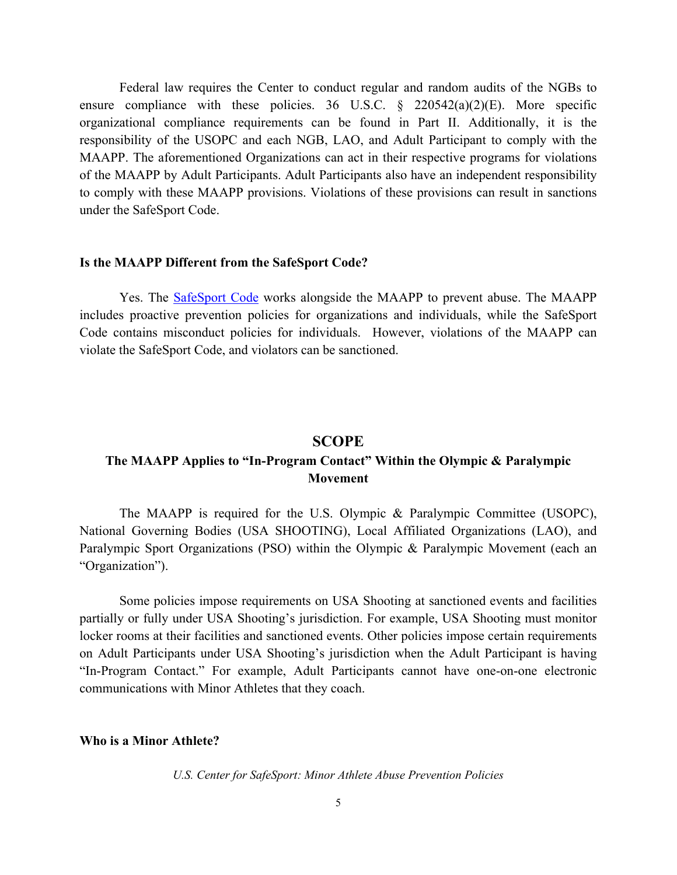Federal law requires the Center to conduct regular and random audits of the NGBs to ensure compliance with these policies. 36 U.S.C.  $\frac{1}{2}$  220542(a)(2)(E). More specific organizational compliance requirements can be found in Part II. Additionally, it is the responsibility of the USOPC and each NGB, LAO, and Adult Participant to comply with the MAAPP. The aforementioned Organizations can act in their respective programs for violations of the MAAPP by Adult Participants. Adult Participants also have an independent responsibility to comply with these MAAPP provisions. Violations of these provisions can result in sanctions under the SafeSport Code.

#### **Is the MAAPP Different from the SafeSport Code?**

Yes. The [SafeSport Code](https://uscenterforsafesport.org/response-and-resolution/safesport-code/) works alongside the MAAPP to prevent abuse. The MAAPP includes proactive prevention policies for organizations and individuals, while the SafeSport Code contains misconduct policies for individuals. However, violations of the MAAPP can violate the SafeSport Code, and violators can be sanctioned.

#### **SCOPE**

# **The MAAPP Applies to "In-Program Contact" Within the Olympic & Paralympic Movement**

The MAAPP is required for the U.S. Olympic & Paralympic Committee (USOPC), National Governing Bodies (USA SHOOTING), Local Affiliated Organizations (LAO), and Paralympic Sport Organizations (PSO) within the Olympic & Paralympic Movement (each an "Organization").

Some policies impose requirements on USA Shooting at sanctioned events and facilities partially or fully under USA Shooting's jurisdiction. For example, USA Shooting must monitor locker rooms at their facilities and sanctioned events. Other policies impose certain requirements on Adult Participants under USA Shooting's jurisdiction when the Adult Participant is having "In-Program Contact." For example, Adult Participants cannot have one-on-one electronic communications with Minor Athletes that they coach.

#### **Who is a Minor Athlete?**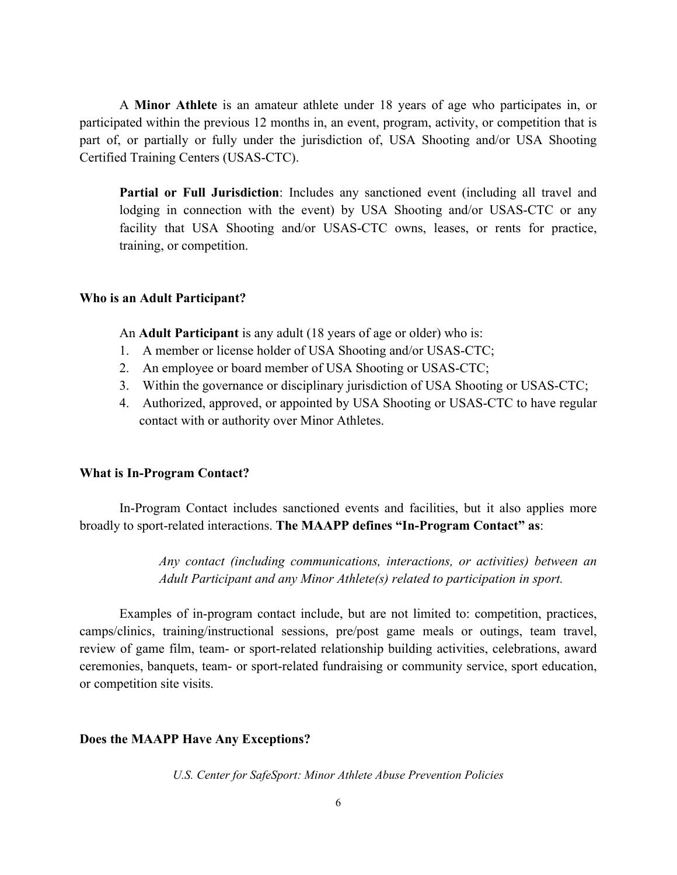A **Minor Athlete** is an amateur athlete under 18 years of age who participates in, or participated within the previous 12 months in, an event, program, activity, or competition that is part of, or partially or fully under the jurisdiction of, USA Shooting and/or USA Shooting Certified Training Centers (USAS-CTC).

**Partial or Full Jurisdiction**: Includes any sanctioned event (including all travel and lodging in connection with the event) by USA Shooting and/or USAS-CTC or any facility that USA Shooting and/or USAS-CTC owns, leases, or rents for practice, training, or competition.

#### **Who is an Adult Participant?**

An **Adult Participant** is any adult (18 years of age or older) who is:

- 1. A member or license holder of USA Shooting and/or USAS-CTC;
- 2. An employee or board member of USA Shooting or USAS-CTC;
- 3. Within the governance or disciplinary jurisdiction of USA Shooting or USAS-CTC;
- 4. Authorized, approved, or appointed by USA Shooting or USAS-CTC to have regular contact with or authority over Minor Athletes.

#### **What is In-Program Contact?**

In-Program Contact includes sanctioned events and facilities, but it also applies more broadly to sport-related interactions. **The MAAPP defines "In-Program Contact" as**:

> *Any contact (including communications, interactions, or activities) between an Adult Participant and any Minor Athlete(s) related to participation in sport.*

Examples of in-program contact include, but are not limited to: competition, practices, camps/clinics, training/instructional sessions, pre/post game meals or outings, team travel, review of game film, team- or sport-related relationship building activities, celebrations, award ceremonies, banquets, team- or sport-related fundraising or community service, sport education, or competition site visits.

#### **Does the MAAPP Have Any Exceptions?**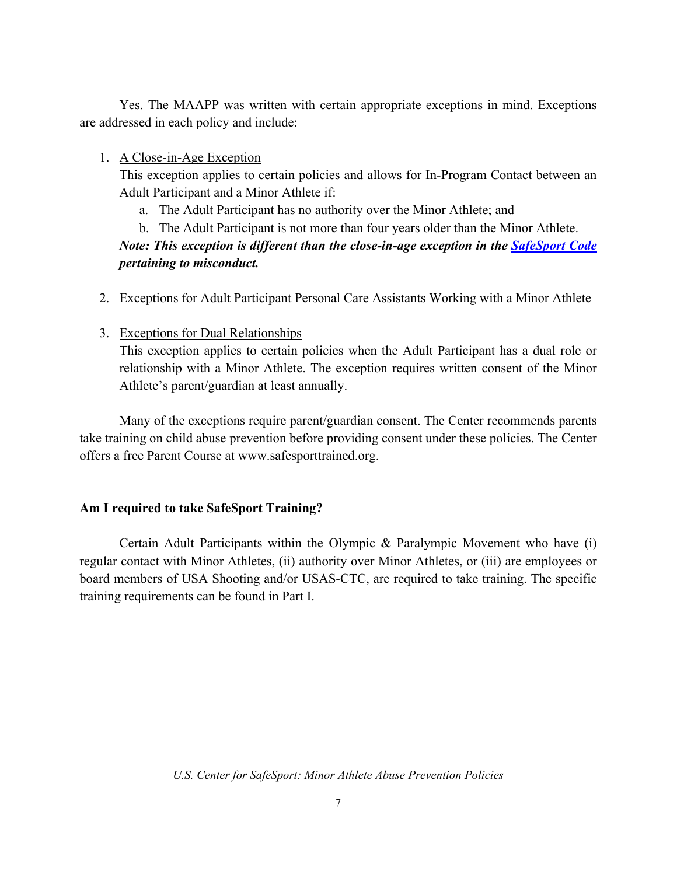Yes. The MAAPP was written with certain appropriate exceptions in mind. Exceptions are addressed in each policy and include:

1. A Close-in-Age Exception

This exception applies to certain policies and allows for In-Program Contact between an Adult Participant and a Minor Athlete if:

- a. The Adult Participant has no authority over the Minor Athlete; and
- b. The Adult Participant is not more than four years older than the Minor Athlete.

# *Note: This exception is different than the close-in-age exception in the SafeSport Code pertaining to misconduct.*

#### 2. Exceptions for Adult Participant Personal Care Assistants Working with a Minor Athlete

#### 3. Exceptions for Dual Relationships

This exception applies to certain policies when the Adult Participant has a dual role or relationship with a Minor Athlete. The exception requires written consent of the Minor Athlete's parent/guardian at least annually.

Many of the exceptions require parent/guardian consent. The Center recommends parents take training on child abuse prevention before providing consent under these policies. The Center offers a free Parent Course at www.safesporttrained.org.

## **Am I required to take SafeSport Training?**

Certain Adult Participants within the Olympic & Paralympic Movement who have (i) regular contact with Minor Athletes, (ii) authority over Minor Athletes, or (iii) are employees or board members of USA Shooting and/or USAS-CTC, are required to take training. The specific training requirements can be found in Part I.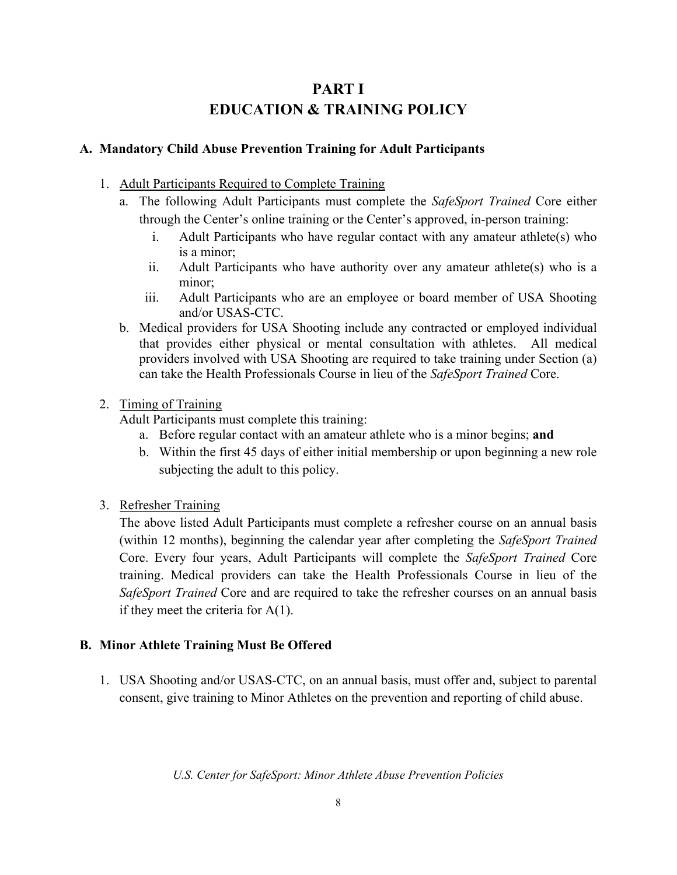# **PART I EDUCATION & TRAINING POLICY**

# **A. Mandatory Child Abuse Prevention Training for Adult Participants**

- 1. Adult Participants Required to Complete Training
	- a. The following Adult Participants must complete the *SafeSport Trained* Core either through the Center's online training or the Center's approved, in-person training:
		- i. Adult Participants who have regular contact with any amateur athlete(s) who is a minor;
		- ii. Adult Participants who have authority over any amateur athlete(s) who is a minor;
		- iii. Adult Participants who are an employee or board member of USA Shooting and/or USAS-CTC.
	- b. Medical providers for USA Shooting include any contracted or employed individual that provides either physical or mental consultation with athletes. All medical providers involved with USA Shooting are required to take training under Section (a) can take the Health Professionals Course in lieu of the *SafeSport Trained* Core.

## 2. Timing of Training

Adult Participants must complete this training:

- a. Before regular contact with an amateur athlete who is a minor begins; **and**
- b. Within the first 45 days of either initial membership or upon beginning a new role subjecting the adult to this policy.
- 3. Refresher Training

The above listed Adult Participants must complete a refresher course on an annual basis (within 12 months), beginning the calendar year after completing the *SafeSport Trained* Core. Every four years, Adult Participants will complete the *SafeSport Trained* Core training. Medical providers can take the Health Professionals Course in lieu of the *SafeSport Trained* Core and are required to take the refresher courses on an annual basis if they meet the criteria for  $A(1)$ .

## **B. Minor Athlete Training Must Be Offered**

1. USA Shooting and/or USAS-CTC, on an annual basis, must offer and, subject to parental consent, give training to Minor Athletes on the prevention and reporting of child abuse.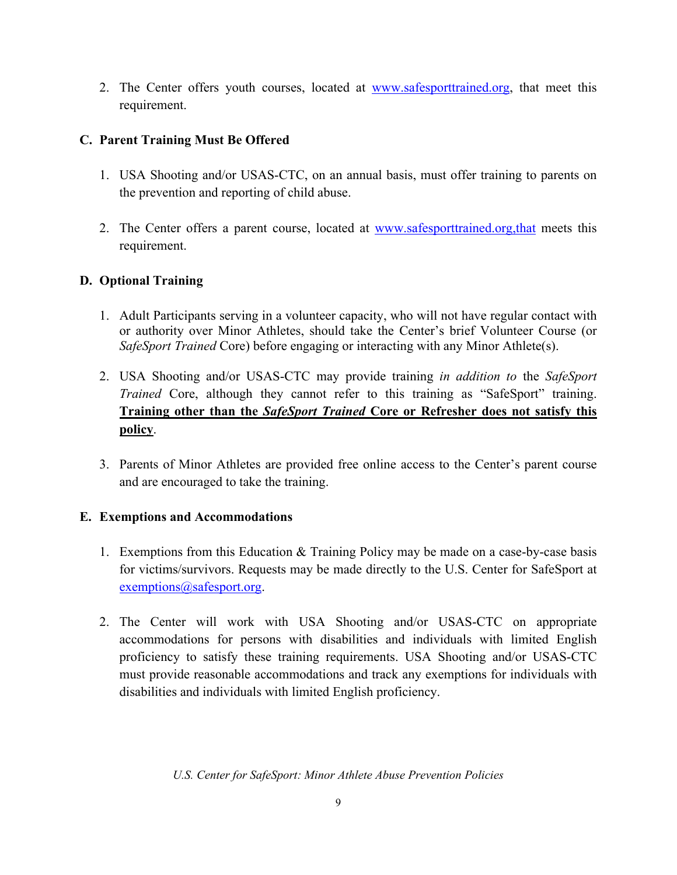2. The Center offers youth courses, located at [www.safesporttrained.org,](http://www.athletesafety.org/) that meet this requirement.

# **C. Parent Training Must Be Offered**

- 1. USA Shooting and/or USAS-CTC, on an annual basis, must offer training to parents on the prevention and reporting of child abuse.
- 2. The Center offers a parent course, located at www.safesporttrained.org,that meets this requirement.

# **D. Optional Training**

- 1. Adult Participants serving in a volunteer capacity, who will not have regular contact with or authority over Minor Athletes, should take the Center's brief Volunteer Course (or *SafeSport Trained* Core) before engaging or interacting with any Minor Athlete(s).
- 2. USA Shooting and/or USAS-CTC may provide training *in addition to* the *SafeSport Trained* Core, although they cannot refer to this training as "SafeSport" training. **Training other than the** *SafeSport Trained* **Core or Refresher does not satisfy this policy**.
- 3. Parents of Minor Athletes are provided free online access to the Center's parent course and are encouraged to take the training.

## **E. Exemptions and Accommodations**

- 1. Exemptions from this Education & Training Policy may be made on a case-by-case basis for victims/survivors. Requests may be made directly to the U.S. Center for SafeSport at [exemptions@safesport.org.](mailto:training@safesport.org)
- 2. The Center will work with USA Shooting and/or USAS-CTC on appropriate accommodations for persons with disabilities and individuals with limited English proficiency to satisfy these training requirements. USA Shooting and/or USAS-CTC must provide reasonable accommodations and track any exemptions for individuals with disabilities and individuals with limited English proficiency.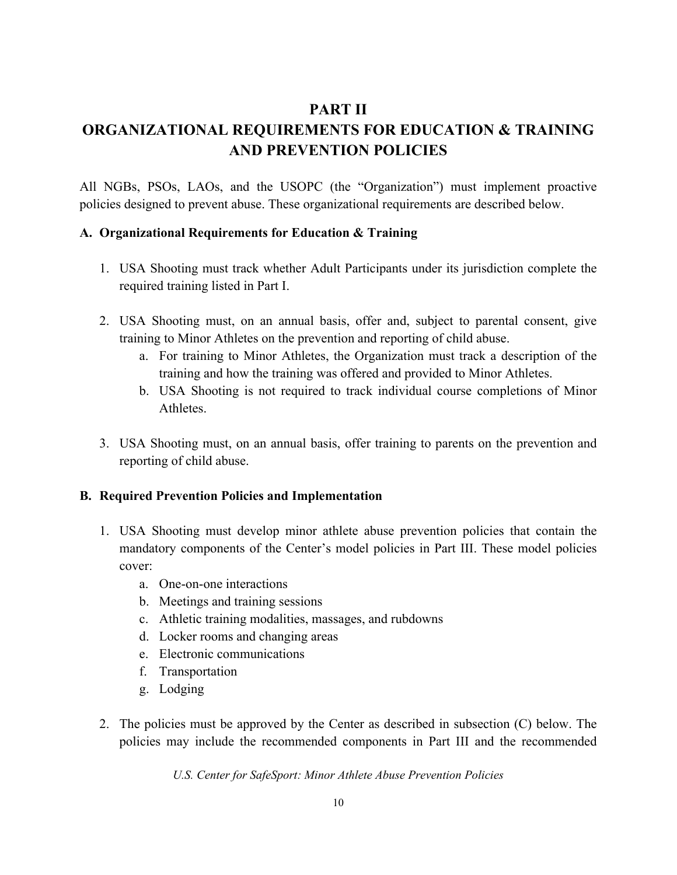# **PART II**

# **ORGANIZATIONAL REQUIREMENTS FOR EDUCATION & TRAINING AND PREVENTION POLICIES**

All NGBs, PSOs, LAOs, and the USOPC (the "Organization") must implement proactive policies designed to prevent abuse. These organizational requirements are described below.

## **A. Organizational Requirements for Education & Training**

- 1. USA Shooting must track whether Adult Participants under its jurisdiction complete the required training listed in Part I.
- 2. USA Shooting must, on an annual basis, offer and, subject to parental consent, give training to Minor Athletes on the prevention and reporting of child abuse.
	- a. For training to Minor Athletes, the Organization must track a description of the training and how the training was offered and provided to Minor Athletes.
	- b. USA Shooting is not required to track individual course completions of Minor Athletes.
- 3. USA Shooting must, on an annual basis, offer training to parents on the prevention and reporting of child abuse.

## **B. Required Prevention Policies and Implementation**

- 1. USA Shooting must develop minor athlete abuse prevention policies that contain the mandatory components of the Center's model policies in Part III. These model policies cover:
	- a. One-on-one interactions
	- b. Meetings and training sessions
	- c. Athletic training modalities, massages, and rubdowns
	- d. Locker rooms and changing areas
	- e. Electronic communications
	- f. Transportation
	- g. Lodging
- 2. The policies must be approved by the Center as described in subsection (C) below. The policies may include the recommended components in Part III and the recommended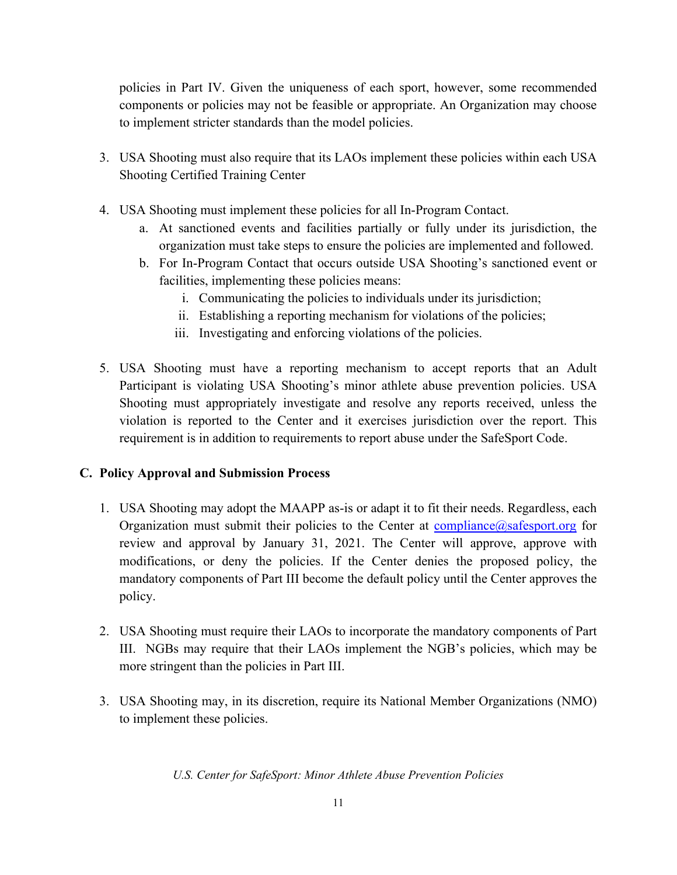policies in Part IV. Given the uniqueness of each sport, however, some recommended components or policies may not be feasible or appropriate. An Organization may choose to implement stricter standards than the model policies.

- 3. USA Shooting must also require that its LAOs implement these policies within each USA Shooting Certified Training Center
- 4. USA Shooting must implement these policies for all In-Program Contact.
	- a. At sanctioned events and facilities partially or fully under its jurisdiction, the organization must take steps to ensure the policies are implemented and followed.
	- b. For In-Program Contact that occurs outside USA Shooting's sanctioned event or facilities, implementing these policies means:
		- i. Communicating the policies to individuals under its jurisdiction;
		- ii. Establishing a reporting mechanism for violations of the policies;
		- iii. Investigating and enforcing violations of the policies.
- 5. USA Shooting must have a reporting mechanism to accept reports that an Adult Participant is violating USA Shooting's minor athlete abuse prevention policies. USA Shooting must appropriately investigate and resolve any reports received, unless the violation is reported to the Center and it exercises jurisdiction over the report. This requirement is in addition to requirements to report abuse under the SafeSport Code.

## **C. Policy Approval and Submission Process**

- 1. USA Shooting may adopt the MAAPP as-is or adapt it to fit their needs. Regardless, each Organization must submit their policies to the Center at  $\frac{\text{compliance}(a)\text{safe}}{\text{sport.org}}$  for review and approval by January 31, 2021. The Center will approve, approve with modifications, or deny the policies. If the Center denies the proposed policy, the mandatory components of Part III become the default policy until the Center approves the policy.
- 2. USA Shooting must require their LAOs to incorporate the mandatory components of Part III. NGBs may require that their LAOs implement the NGB's policies, which may be more stringent than the policies in Part III.
- 3. USA Shooting may, in its discretion, require its National Member Organizations (NMO) to implement these policies.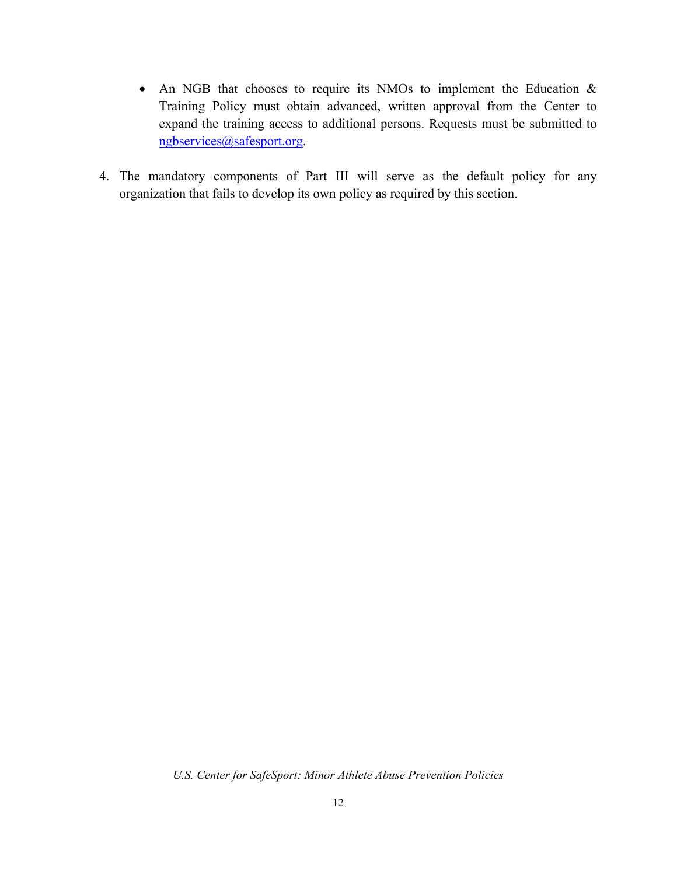- An NGB that chooses to require its NMOs to implement the Education & Training Policy must obtain advanced, written approval from the Center to expand the training access to additional persons. Requests must be submitted to [ngbservices@safesport.org.](mailto:ngbservices@safesport.org)
- 4. The mandatory components of Part III will serve as the default policy for any organization that fails to develop its own policy as required by this section.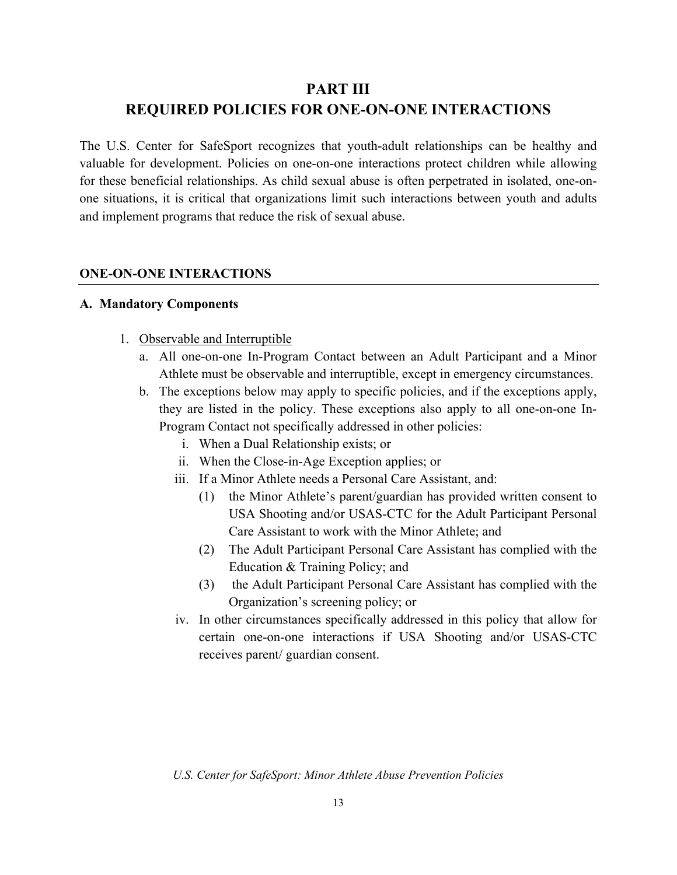# **PART III REQUIRED POLICIES FOR ONE-ON-ONE INTERACTIONS**

The U.S. Center for SafeSport recognizes that youth-adult relationships can be healthy and valuable for development. Policies on one-on-one interactions protect children while allowing for these beneficial relationships. As child sexual abuse is often perpetrated in isolated, one-onone situations, it is critical that organizations limit such interactions between youth and adults and implement programs that reduce the risk of sexual abuse.

#### **ONE-ON-ONE INTERACTIONS**

#### **A. Mandatory Components**

- 1. Observable and Interruptible
	- a. All one-on-one In-Program Contact between an Adult Participant and a Minor Athlete must be observable and interruptible, except in emergency circumstances.
	- b. The exceptions below may apply to specific policies, and if the exceptions apply, they are listed in the policy. These exceptions also apply to all one-on-one In-Program Contact not specifically addressed in other policies:
		- i. When a Dual Relationship exists; or
		- ii. When the Close-in-Age Exception applies; or
		- iii. If a Minor Athlete needs a Personal Care Assistant, and:
			- (1) the Minor Athlete's parent/guardian has provided written consent to USA Shooting and/or USAS-CTC for the Adult Participant Personal Care Assistant to work with the Minor Athlete; and
			- (2) The Adult Participant Personal Care Assistant has complied with the Education & Training Policy; and
			- (3) the Adult Participant Personal Care Assistant has complied with the Organization's screening policy; or
		- iv. In other circumstances specifically addressed in this policy that allow for certain one-on-one interactions if USA Shooting and/or USAS-CTC receives parent/ guardian consent.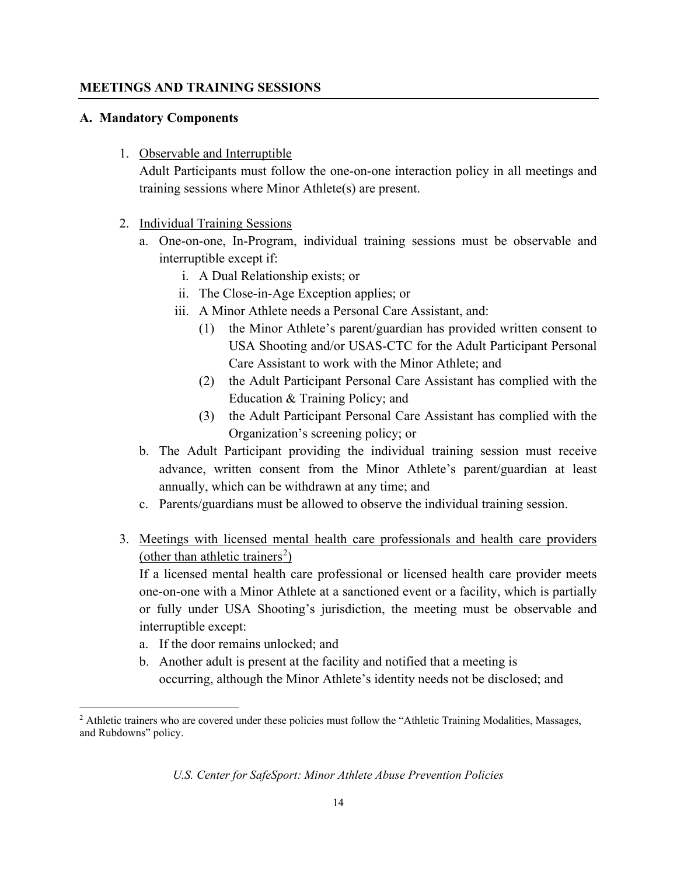#### **MEETINGS AND TRAINING SESSIONS**

#### **A. Mandatory Components**

1. Observable and Interruptible

Adult Participants must follow the one-on-one interaction policy in all meetings and training sessions where Minor Athlete(s) are present.

- 2. Individual Training Sessions
	- a. One-on-one, In-Program, individual training sessions must be observable and interruptible except if:
		- i. A Dual Relationship exists; or
		- ii. The Close-in-Age Exception applies; or
		- iii. A Minor Athlete needs a Personal Care Assistant, and:
			- (1) the Minor Athlete's parent/guardian has provided written consent to USA Shooting and/or USAS-CTC for the Adult Participant Personal Care Assistant to work with the Minor Athlete; and
			- (2) the Adult Participant Personal Care Assistant has complied with the Education & Training Policy; and
			- (3) the Adult Participant Personal Care Assistant has complied with the Organization's screening policy; or
	- b. The Adult Participant providing the individual training session must receive advance, written consent from the Minor Athlete's parent/guardian at least annually, which can be withdrawn at any time; and
	- c. Parents/guardians must be allowed to observe the individual training session.
- 3. Meetings with licensed mental health care professionals and health care providers (other than athletic trainers<sup>[2](#page-13-0)</sup>)

If a licensed mental health care professional or licensed health care provider meets one-on-one with a Minor Athlete at a sanctioned event or a facility, which is partially or fully under USA Shooting's jurisdiction, the meeting must be observable and interruptible except:

- a. If the door remains unlocked; and
- b. Another adult is present at the facility and notified that a meeting is occurring, although the Minor Athlete's identity needs not be disclosed; and

<span id="page-13-0"></span><sup>&</sup>lt;sup>2</sup> Athletic trainers who are covered under these policies must follow the "Athletic Training Modalities, Massages, and Rubdowns" policy.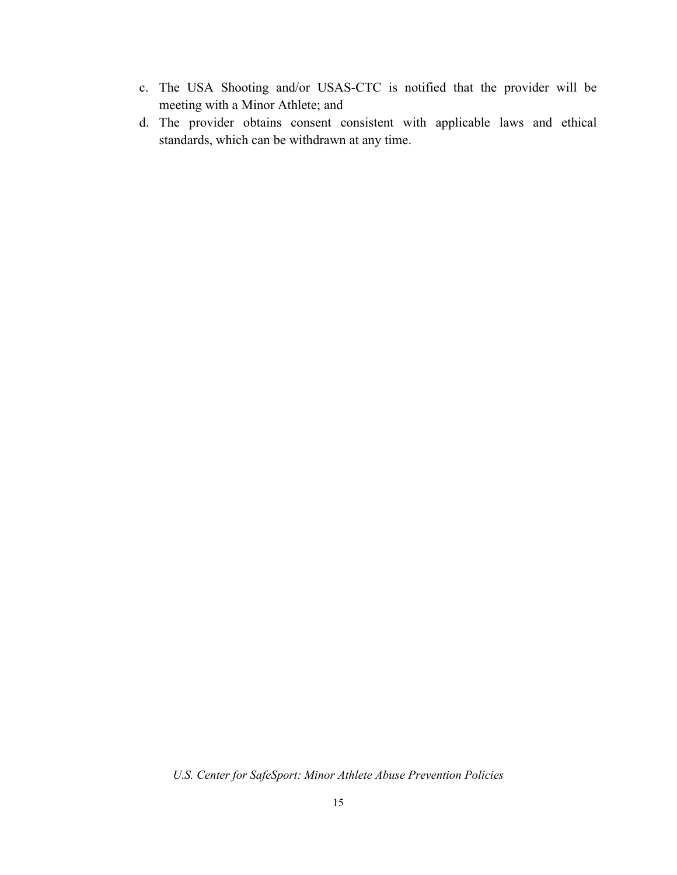- c. The USA Shooting and/or USAS-CTC is notified that the provider will be meeting with a Minor Athlete; and
- d. The provider obtains consent consistent with applicable laws and ethical standards, which can be withdrawn at any time.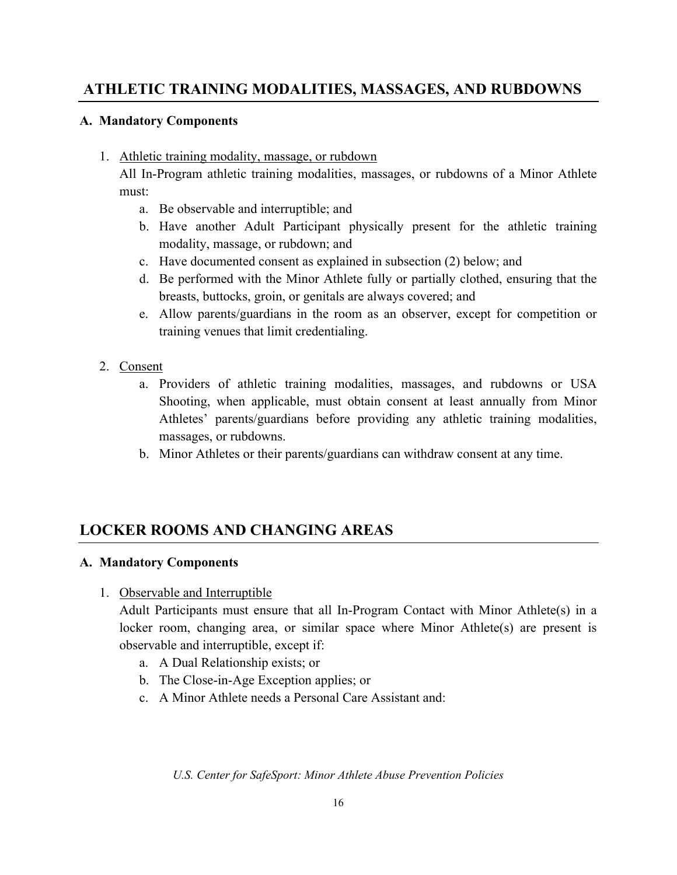# **ATHLETIC TRAINING MODALITIES, MASSAGES, AND RUBDOWNS**

#### **A. Mandatory Components**

1. Athletic training modality, massage, or rubdown

All In-Program athletic training modalities, massages, or rubdowns of a Minor Athlete must:

- a. Be observable and interruptible; and
- b. Have another Adult Participant physically present for the athletic training modality, massage, or rubdown; and
- c. Have documented consent as explained in subsection (2) below; and
- d. Be performed with the Minor Athlete fully or partially clothed, ensuring that the breasts, buttocks, groin, or genitals are always covered; and
- e. Allow parents/guardians in the room as an observer, except for competition or training venues that limit credentialing.
- 2. Consent
	- a. Providers of athletic training modalities, massages, and rubdowns or USA Shooting, when applicable, must obtain consent at least annually from Minor Athletes' parents/guardians before providing any athletic training modalities, massages, or rubdowns.
	- b. Minor Athletes or their parents/guardians can withdraw consent at any time.

# **LOCKER ROOMS AND CHANGING AREAS**

#### **A. Mandatory Components**

1. Observable and Interruptible

Adult Participants must ensure that all In-Program Contact with Minor Athlete(s) in a locker room, changing area, or similar space where Minor Athlete(s) are present is observable and interruptible, except if:

- a. A Dual Relationship exists; or
- b. The Close-in-Age Exception applies; or
- c. A Minor Athlete needs a Personal Care Assistant and: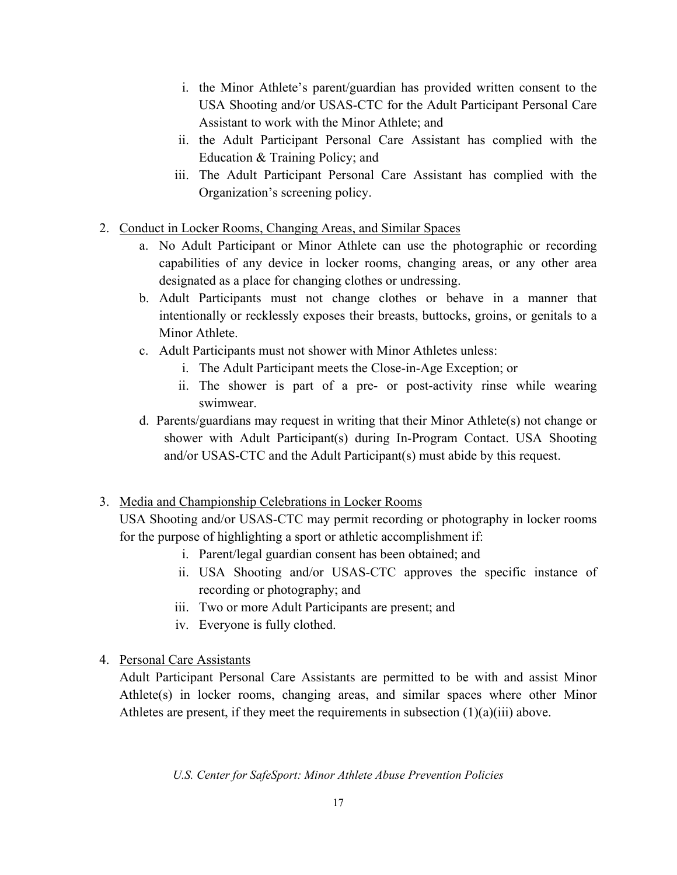- i. the Minor Athlete's parent/guardian has provided written consent to the USA Shooting and/or USAS-CTC for the Adult Participant Personal Care Assistant to work with the Minor Athlete; and
- ii. the Adult Participant Personal Care Assistant has complied with the Education & Training Policy; and
- iii. The Adult Participant Personal Care Assistant has complied with the Organization's screening policy.
- 2. Conduct in Locker Rooms, Changing Areas, and Similar Spaces
	- a. No Adult Participant or Minor Athlete can use the photographic or recording capabilities of any device in locker rooms, changing areas, or any other area designated as a place for changing clothes or undressing.
	- b. Adult Participants must not change clothes or behave in a manner that intentionally or recklessly exposes their breasts, buttocks, groins, or genitals to a Minor Athlete.
	- c. Adult Participants must not shower with Minor Athletes unless:
		- i. The Adult Participant meets the Close-in-Age Exception; or
		- ii. The shower is part of a pre- or post-activity rinse while wearing swimwear.
	- d. Parents/guardians may request in writing that their Minor Athlete(s) not change or shower with Adult Participant(s) during In-Program Contact. USA Shooting and/or USAS-CTC and the Adult Participant(s) must abide by this request.

# 3. Media and Championship Celebrations in Locker Rooms

USA Shooting and/or USAS-CTC may permit recording or photography in locker rooms for the purpose of highlighting a sport or athletic accomplishment if:

- i. Parent/legal guardian consent has been obtained; and
- ii. USA Shooting and/or USAS-CTC approves the specific instance of recording or photography; and
- iii. Two or more Adult Participants are present; and
- iv. Everyone is fully clothed.
- 4. Personal Care Assistants

 Adult Participant Personal Care Assistants are permitted to be with and assist Minor Athlete(s) in locker rooms, changing areas, and similar spaces where other Minor Athletes are present, if they meet the requirements in subsection  $(1)(a)(iii)$  above.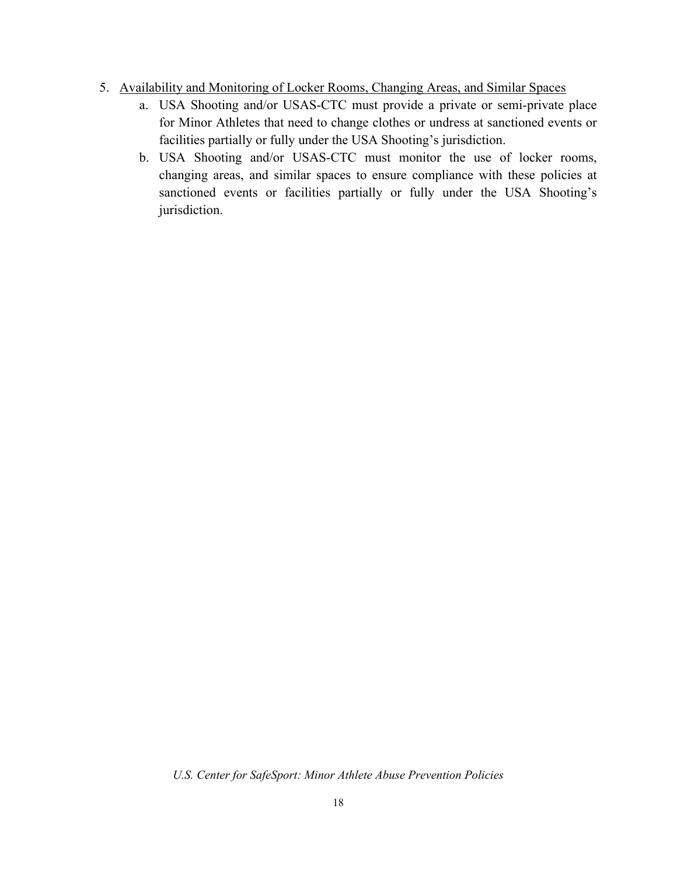- 5. Availability and Monitoring of Locker Rooms, Changing Areas, and Similar Spaces
	- a. USA Shooting and/or USAS-CTC must provide a private or semi-private place for Minor Athletes that need to change clothes or undress at sanctioned events or facilities partially or fully under the USA Shooting's jurisdiction.
	- b. USA Shooting and/or USAS-CTC must monitor the use of locker rooms, changing areas, and similar spaces to ensure compliance with these policies at sanctioned events or facilities partially or fully under the USA Shooting's jurisdiction.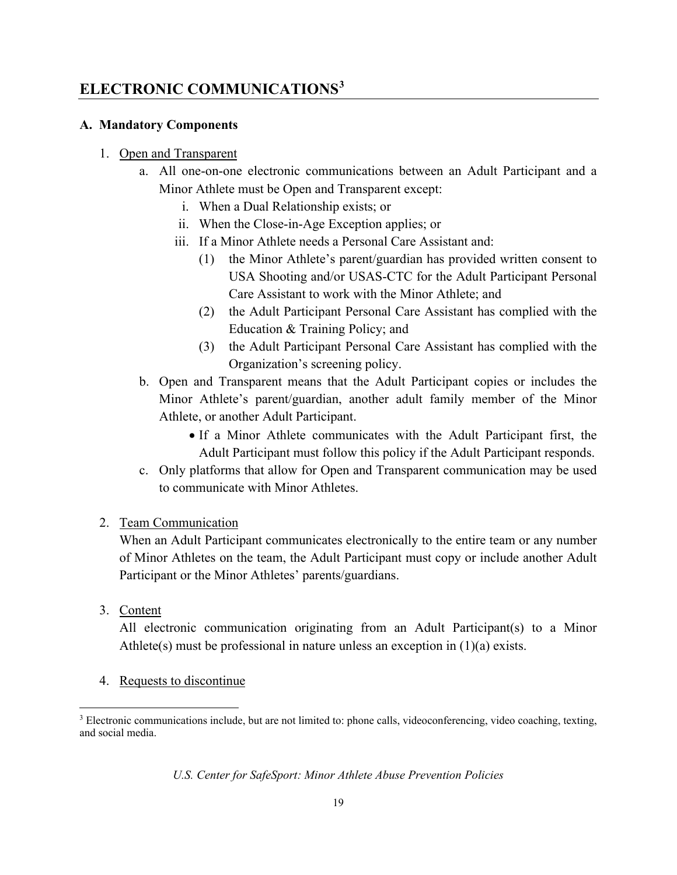# **ELECTRONIC COMMUNICATIONS[3](#page-18-0)**

#### **A. Mandatory Components**

#### 1. Open and Transparent

- a. All one-on-one electronic communications between an Adult Participant and a Minor Athlete must be Open and Transparent except:
	- i. When a Dual Relationship exists; or
	- ii. When the Close-in-Age Exception applies; or
	- iii. If a Minor Athlete needs a Personal Care Assistant and:
		- (1) the Minor Athlete's parent/guardian has provided written consent to USA Shooting and/or USAS-CTC for the Adult Participant Personal Care Assistant to work with the Minor Athlete; and
		- (2) the Adult Participant Personal Care Assistant has complied with the Education & Training Policy; and
		- (3) the Adult Participant Personal Care Assistant has complied with the Organization's screening policy.
- b. Open and Transparent means that the Adult Participant copies or includes the Minor Athlete's parent/guardian, another adult family member of the Minor Athlete, or another Adult Participant.
	- If a Minor Athlete communicates with the Adult Participant first, the Adult Participant must follow this policy if the Adult Participant responds.
- c. Only platforms that allow for Open and Transparent communication may be used to communicate with Minor Athletes.

#### 2. Team Communication

 When an Adult Participant communicates electronically to the entire team or any number of Minor Athletes on the team, the Adult Participant must copy or include another Adult Participant or the Minor Athletes' parents/guardians.

3. Content

All electronic communication originating from an Adult Participant(s) to a Minor Athlete(s) must be professional in nature unless an exception in  $(1)(a)$  exists.

4. Requests to discontinue

<span id="page-18-0"></span><sup>3</sup> Electronic communications include, but are not limited to: phone calls, videoconferencing, video coaching, texting, and social media.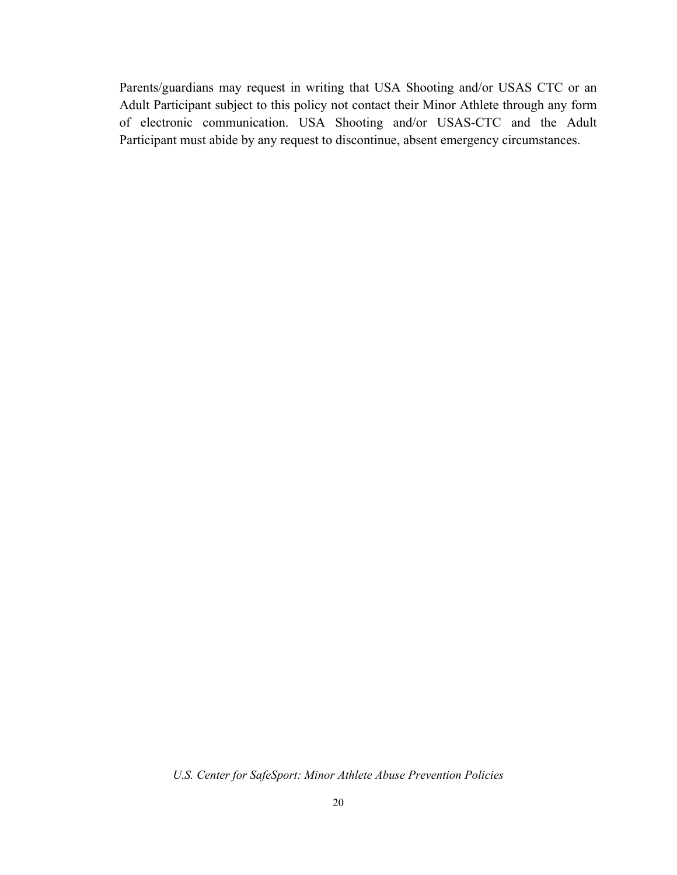Parents/guardians may request in writing that USA Shooting and/or USAS CTC or an Adult Participant subject to this policy not contact their Minor Athlete through any form of electronic communication. USA Shooting and/or USAS-CTC and the Adult Participant must abide by any request to discontinue, absent emergency circumstances.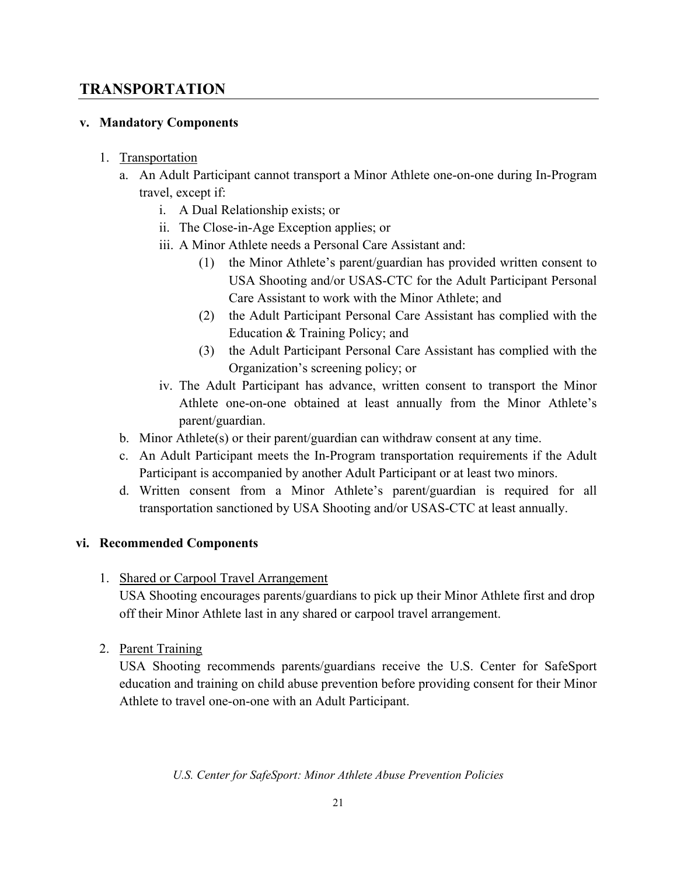# **TRANSPORTATION**

#### **v. Mandatory Components**

#### 1. Transportation

- a. An Adult Participant cannot transport a Minor Athlete one-on-one during In-Program travel, except if:
	- i. A Dual Relationship exists; or
	- ii. The Close-in-Age Exception applies; or
	- iii. A Minor Athlete needs a Personal Care Assistant and:
		- (1) the Minor Athlete's parent/guardian has provided written consent to USA Shooting and/or USAS-CTC for the Adult Participant Personal Care Assistant to work with the Minor Athlete; and
		- (2) the Adult Participant Personal Care Assistant has complied with the Education & Training Policy; and
		- (3) the Adult Participant Personal Care Assistant has complied with the Organization's screening policy; or
	- iv. The Adult Participant has advance, written consent to transport the Minor Athlete one-on-one obtained at least annually from the Minor Athlete's parent/guardian.
- b. Minor Athlete(s) or their parent/guardian can withdraw consent at any time.
- c. An Adult Participant meets the In-Program transportation requirements if the Adult Participant is accompanied by another Adult Participant or at least two minors.
- d. Written consent from a Minor Athlete's parent/guardian is required for all transportation sanctioned by USA Shooting and/or USAS-CTC at least annually.

## **vi. Recommended Components**

1. Shared or Carpool Travel Arrangement

USA Shooting encourages parents/guardians to pick up their Minor Athlete first and drop off their Minor Athlete last in any shared or carpool travel arrangement.

2. Parent Training

USA Shooting recommends parents/guardians receive the U.S. Center for SafeSport education and training on child abuse prevention before providing consent for their Minor Athlete to travel one-on-one with an Adult Participant.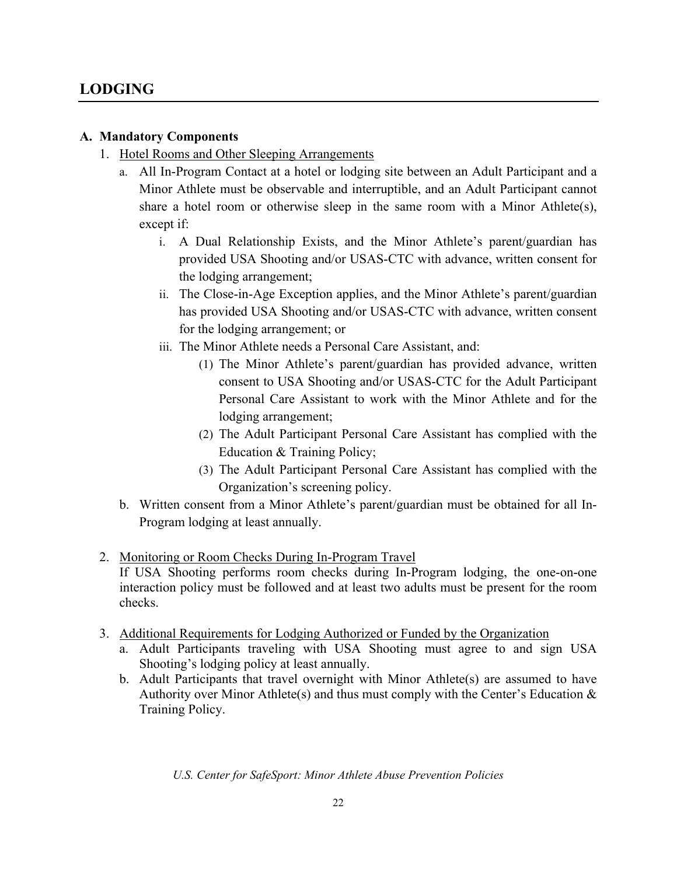# **LODGING**

#### **A. Mandatory Components**

- 1. Hotel Rooms and Other Sleeping Arrangements
	- a. All In-Program Contact at a hotel or lodging site between an Adult Participant and a Minor Athlete must be observable and interruptible, and an Adult Participant cannot share a hotel room or otherwise sleep in the same room with a Minor Athlete(s), except if:
		- i. A Dual Relationship Exists, and the Minor Athlete's parent/guardian has provided USA Shooting and/or USAS-CTC with advance, written consent for the lodging arrangement;
		- ii. The Close-in-Age Exception applies, and the Minor Athlete's parent/guardian has provided USA Shooting and/or USAS-CTC with advance, written consent for the lodging arrangement; or
		- iii. The Minor Athlete needs a Personal Care Assistant, and:
			- (1) The Minor Athlete's parent/guardian has provided advance, written consent to USA Shooting and/or USAS-CTC for the Adult Participant Personal Care Assistant to work with the Minor Athlete and for the lodging arrangement;
			- (2) The Adult Participant Personal Care Assistant has complied with the Education & Training Policy;
			- (3) The Adult Participant Personal Care Assistant has complied with the Organization's screening policy.
	- b. Written consent from a Minor Athlete's parent/guardian must be obtained for all In-Program lodging at least annually.
- 2. Monitoring or Room Checks During In-Program Travel
	- If USA Shooting performs room checks during In-Program lodging, the one-on-one interaction policy must be followed and at least two adults must be present for the room checks.
- 3. Additional Requirements for Lodging Authorized or Funded by the Organization
	- a. Adult Participants traveling with USA Shooting must agree to and sign USA Shooting's lodging policy at least annually.
	- b. Adult Participants that travel overnight with Minor Athlete(s) are assumed to have Authority over Minor Athlete(s) and thus must comply with the Center's Education  $\&$ Training Policy.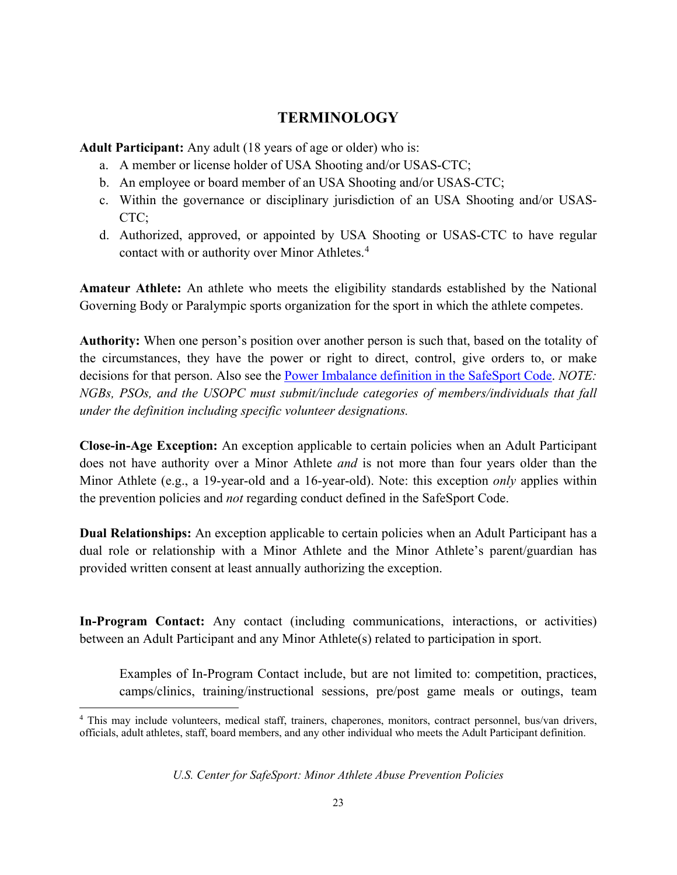# **TERMINOLOGY**

**Adult Participant:** Any adult (18 years of age or older) who is:

- a. A member or license holder of USA Shooting and/or USAS-CTC;
- b. An employee or board member of an USA Shooting and/or USAS-CTC;
- c. Within the governance or disciplinary jurisdiction of an USA Shooting and/or USAS-CTC;
- d. Authorized, approved, or appointed by USA Shooting or USAS-CTC to have regular contact with or authority over Minor Athletes.<sup>[4](#page-22-0)</sup>

**Amateur Athlete:** An athlete who meets the eligibility standards established by the National Governing Body or Paralympic sports organization for the sport in which the athlete competes.

**Authority:** When one person's position over another person is such that, based on the totality of the circumstances, they have the power or right to direct, control, give orders to, or make decisions for that person. Also see the [Power Imbalance definition in the SafeSport Code.](https://uscenterforsafesport.org/response-and-resolution/safesport-code/) *NOTE: NGBs, PSOs, and the USOPC must submit/include categories of members/individuals that fall under the definition including specific volunteer designations.*

**Close-in-Age Exception:** An exception applicable to certain policies when an Adult Participant does not have authority over a Minor Athlete *and* is not more than four years older than the Minor Athlete (e.g., a 19-year-old and a 16-year-old). Note: this exception *only* applies within the prevention policies and *not* regarding conduct defined in the SafeSport Code.

**Dual Relationships:** An exception applicable to certain policies when an Adult Participant has a dual role or relationship with a Minor Athlete and the Minor Athlete's parent/guardian has provided written consent at least annually authorizing the exception.

**In-Program Contact:** Any contact (including communications, interactions, or activities) between an Adult Participant and any Minor Athlete(s) related to participation in sport.

Examples of In-Program Contact include, but are not limited to: competition, practices, camps/clinics, training/instructional sessions, pre/post game meals or outings, team

<span id="page-22-0"></span><sup>4</sup> This may include volunteers, medical staff, trainers, chaperones, monitors, contract personnel, bus/van drivers, officials, adult athletes, staff, board members, and any other individual who meets the Adult Participant definition.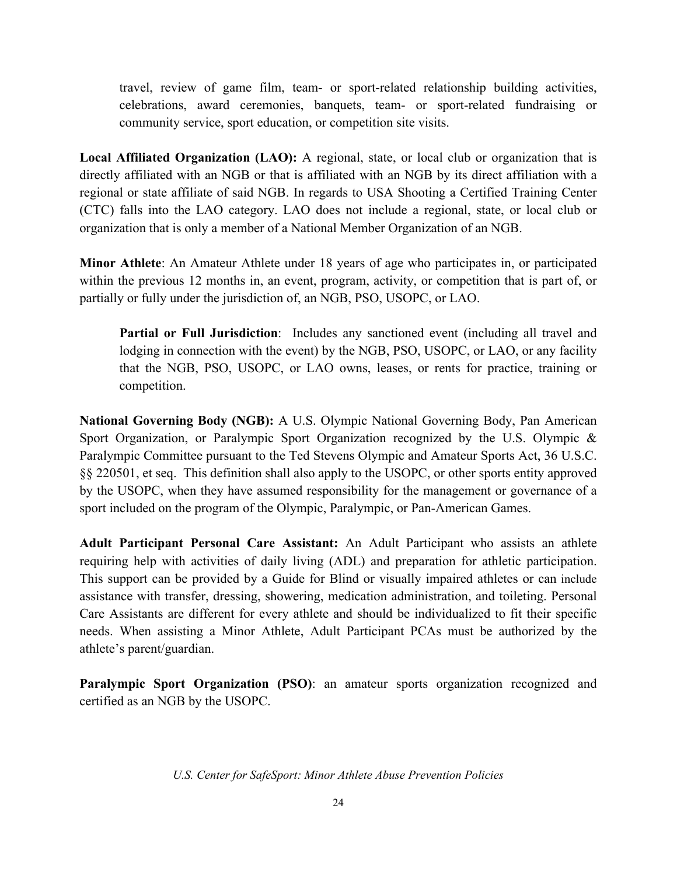travel, review of game film, team- or sport-related relationship building activities, celebrations, award ceremonies, banquets, team- or sport-related fundraising or community service, sport education, or competition site visits.

**Local Affiliated Organization (LAO):** A regional, state, or local club or organization that is directly affiliated with an NGB or that is affiliated with an NGB by its direct affiliation with a regional or state affiliate of said NGB. In regards to USA Shooting a Certified Training Center (CTC) falls into the LAO category. LAO does not include a regional, state, or local club or organization that is only a member of a National Member Organization of an NGB.

**Minor Athlete**: An Amateur Athlete under 18 years of age who participates in, or participated within the previous 12 months in, an event, program, activity, or competition that is part of, or partially or fully under the jurisdiction of, an NGB, PSO, USOPC, or LAO.

**Partial or Full Jurisdiction**: Includes any sanctioned event (including all travel and lodging in connection with the event) by the NGB, PSO, USOPC, or LAO, or any facility that the NGB, PSO, USOPC, or LAO owns, leases, or rents for practice, training or competition.

**National Governing Body (NGB):** A U.S. Olympic National Governing Body, Pan American Sport Organization, or Paralympic Sport Organization recognized by the U.S. Olympic & Paralympic Committee pursuant to the Ted Stevens Olympic and Amateur Sports Act, 36 U.S.C. §§ 220501, et seq. This definition shall also apply to the USOPC, or other sports entity approved by the USOPC, when they have assumed responsibility for the management or governance of a sport included on the program of the Olympic, Paralympic, or Pan-American Games.

**Adult Participant Personal Care Assistant:** An Adult Participant who assists an athlete requiring help with activities of daily living (ADL) and preparation for athletic participation. This support can be provided by a Guide for Blind or visually impaired athletes or can include assistance with transfer, dressing, showering, medication administration, and toileting. Personal Care Assistants are different for every athlete and should be individualized to fit their specific needs. When assisting a Minor Athlete, Adult Participant PCAs must be authorized by the athlete's parent/guardian.

**Paralympic Sport Organization (PSO):** an amateur sports organization recognized and certified as an NGB by the USOPC.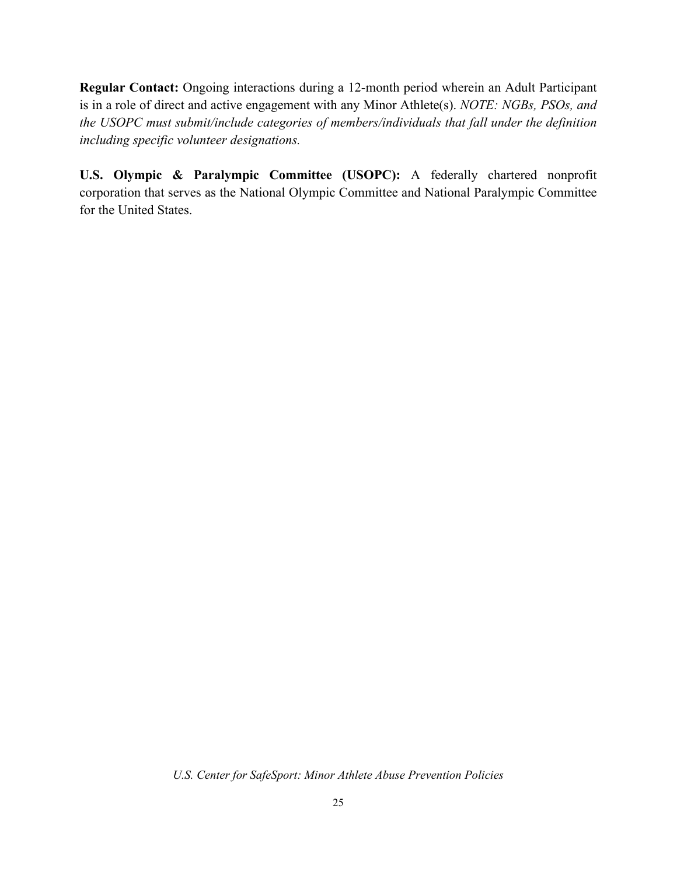**Regular Contact:** Ongoing interactions during a 12-month period wherein an Adult Participant is in a role of direct and active engagement with any Minor Athlete(s). *NOTE: NGBs, PSOs, and the USOPC must submit/include categories of members/individuals that fall under the definition including specific volunteer designations.*

**U.S. Olympic & Paralympic Committee (USOPC):** A federally chartered nonprofit corporation that serves as the National Olympic Committee and National Paralympic Committee for the United States.